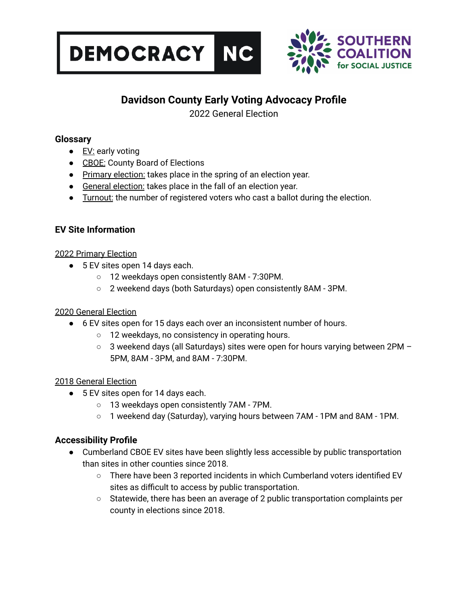



# **Davidson County Early Voting Advocacy Profile**

2022 General Election

### **Glossary**

- $\bullet$  EV: early voting
- CBOE: County Board of Elections
- Primary election: takes place in the spring of an election year.
- General election: takes place in the fall of an election year.
- Turnout: the number of registered voters who cast a ballot during the election.

## **EV Site Information**

### 2022 Primary Election

- 5 EV sites open 14 days each.
	- 12 weekdays open consistently 8AM 7:30PM.
	- 2 weekend days (both Saturdays) open consistently 8AM 3PM.

### 2020 General Election

- 6 EV sites open for 15 days each over an inconsistent number of hours.
	- 12 weekdays, no consistency in operating hours.
	- $\circ$  3 weekend days (all Saturdays) sites were open for hours varying between 2PM 5PM, 8AM - 3PM, and 8AM - 7:30PM.

### 2018 General Election

- 5 EV sites open for 14 days each.
	- 13 weekdays open consistently 7AM 7PM.
	- 1 weekend day (Saturday), varying hours between 7AM 1PM and 8AM 1PM.

## **Accessibility Profile**

- Cumberland CBOE EV sites have been slightly less accessible by public transportation than sites in other counties since 2018.
	- There have been 3 reported incidents in which Cumberland voters identified EV sites as difficult to access by public transportation.
	- $\circ$  Statewide, there has been an average of 2 public transportation complaints per county in elections since 2018.